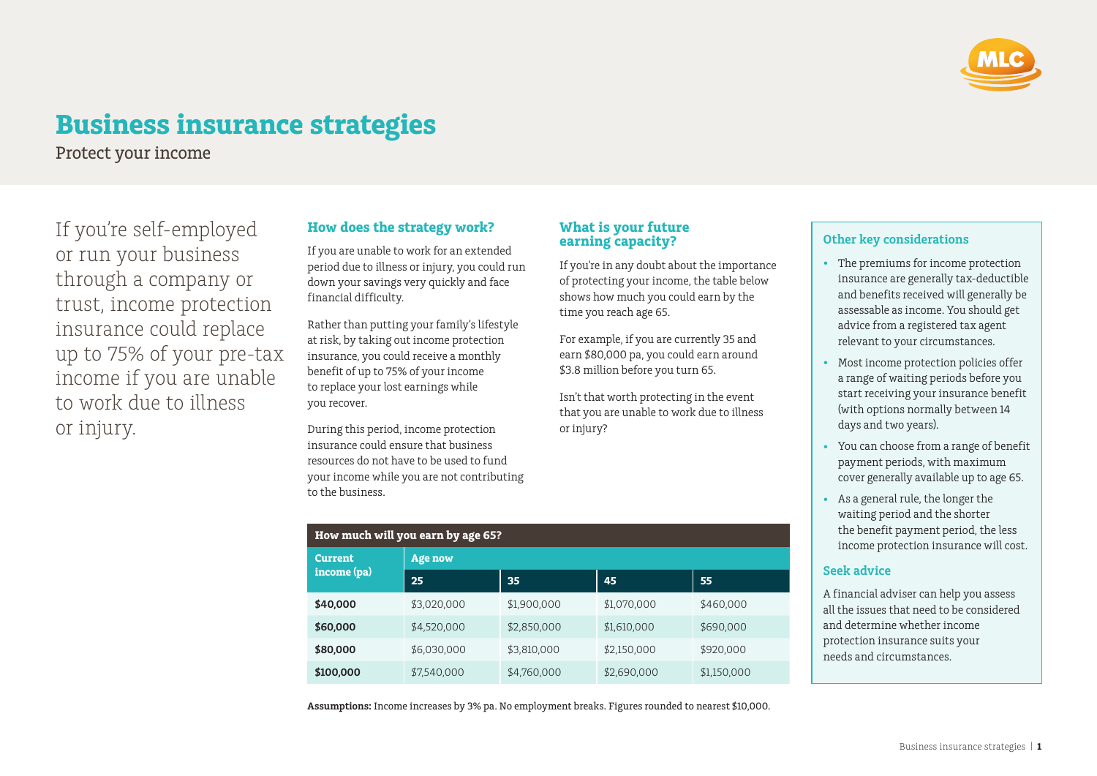

# **Business insurance strategies**

Protect your income

If you're self‑employed or run your business through a company or trust, income protection insurance could replace up to 75% of your pre-tax income if you are unable to work due to illness or injury.

## **How does the strategy work?**

If you are unable to work for an extended period due to illness or injury, you could run down your savings very quickly and face financial difficulty.

Rather than putting your family's lifestyle at risk, by taking out income protection insurance, you could receive a monthly benefit of up to 75% of your income to replace your lost earnings while you recover.

During this period, income protection insurance could ensure that business resources do not have to be used to fund your income while you are not contributing to the business.

**How much will you earn by age 65?**

**Age now**

**Current income (pa)**

### **What is your future earning capacity?**

If you're in any doubt about the importance of protecting your income, the table below shows how much you could earn by the time you reach age 65.

For example, if you are currently 35 and earn \$80,000 pa, you could earn around \$3.8 million before you turn 65.

Isn't that worth protecting in the event that you are unable to work due to illness or injury?

|  | <b>Other key considerations</b> |  |
|--|---------------------------------|--|
|  |                                 |  |

- The premiums for income protection insurance are generally tax-deductible and benefits received will generally be assessable as income. You should get advice from a registered tax agent relevant to your circumstances.
- Most income protection policies offer a range of waiting periods before you start receiving your insurance benefit (with options normally between 14 days and two years).
- You can choose from a range of benefit payment periods, with maximum cover generally available up to age 65.
- As a general rule, the longer the waiting period and the shorter the benefit payment period, the less income protection insurance will cost.

### **Seek advice**

A financial adviser can help you assess all the issues that need to be considered and determine whether income protection insurance suits your needs and circumstances.

| Assumptions: Income increases by 3% pa. No employment breaks. Figures rounded to nearest \$10,000. |  |  |
|----------------------------------------------------------------------------------------------------|--|--|
|                                                                                                    |  |  |

**\$40,000** \$3,020,000 \$1,900,000 \$1,070,000 \$460,000 **\$60,000** \$4,520,000 \$2,850,000 \$1,610,000 \$690,000 **\$80,000** \$6,030,000 \$3,810,000 \$2,150,000 \$920,000 **\$100,000** \$7,540,000 \$4,760,000 \$2,690,000 \$1,150,000

**25 35 45 55**